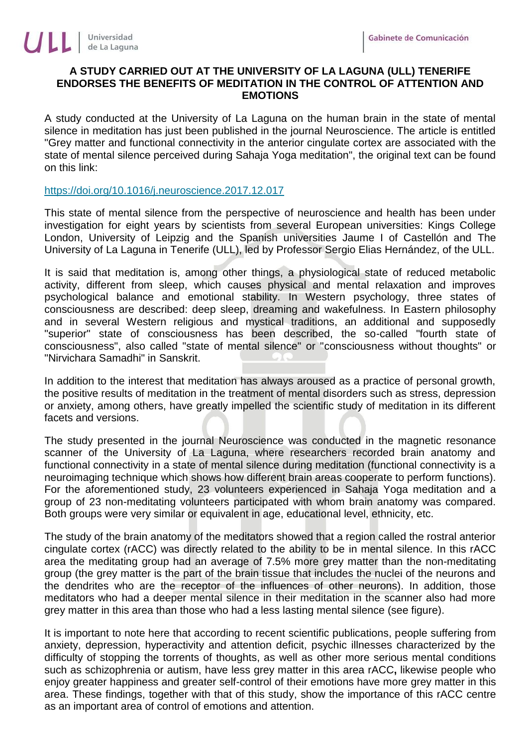## **A STUDY CARRIED OUT AT THE UNIVERSITY OF LA LAGUNA (ULL) TENERIFE ENDORSES THE BENEFITS OF MEDITATION IN THE CONTROL OF ATTENTION AND EMOTIONS**

A study conducted at the University of La Laguna on the human brain in the state of mental silence in meditation has just been published in the journal Neuroscience. The article is entitled "Grey matter and functional connectivity in the anterior cingulate cortex are associated with the state of mental silence perceived during Sahaja Yoga meditation", the original text can be found on this link:

## <https://doi.org/10.1016/j.neuroscience.2017.12.017>

This state of mental silence from the perspective of neuroscience and health has been under investigation for eight years by scientists from several European universities: Kings College London, University of Leipzig and the Spanish universities Jaume I of Castellón and The University of La Laguna in Tenerife (ULL), led by Professor Sergio Elias Hernández, of the ULL.

It is said that meditation is, among other things, a physiological state of reduced metabolic activity, different from sleep, which causes physical and mental relaxation and improves psychological balance and emotional stability. In Western psychology, three states of consciousness are described: deep sleep, dreaming and wakefulness. In Eastern philosophy and in several Western religious and mystical traditions, an additional and supposedly "superior" state of consciousness has been described, the so-called "fourth state of consciousness", also called "state of mental silence" or "consciousness without thoughts" or "Nirvichara Samadhi" in Sanskrit.

In addition to the interest that meditation has always aroused as a practice of personal growth, the positive results of meditation in the treatment of mental disorders such as stress, depression or anxiety, among others, have greatly impelled the scientific study of meditation in its different facets and versions.

The study presented in the journal Neuroscience was conducted in the magnetic resonance scanner of the University of La Laguna, where researchers recorded brain anatomy and functional connectivity in a state of mental silence during meditation (functional connectivity is a neuroimaging technique which shows how different brain areas cooperate to perform functions). For the aforementioned study, 23 volunteers experienced in Sahaja Yoga meditation and a group of 23 non-meditating volunteers participated with whom brain anatomy was compared. Both groups were very similar or equivalent in age, educational level, ethnicity, etc.

The study of the brain anatomy of the meditators showed that a region called the rostral anterior cingulate cortex (rACC) was directly related to the ability to be in mental silence. In this rACC area the meditating group had an average of 7.5% more grey matter than the non-meditating group (the grey matter is the part of the brain tissue that includes the nuclei of the neurons and the dendrites who are the receptor of the influences of other neurons). In addition, those meditators who had a deeper mental silence in their meditation in the scanner also had more grey matter in this area than those who had a less lasting mental silence (see figure).

It is important to note here that according to recent scientific publications, people suffering from anxiety, depression, hyperactivity and attention deficit, psychic illnesses characterized by the difficulty of stopping the torrents of thoughts, as well as other more serious mental conditions such as schizophrenia or autism, have less grey matter in this area rACC**,** likewise people who enjoy greater happiness and greater self-control of their emotions have more grey matter in this area. These findings, together with that of this study, show the importance of this rACC centre as an important area of control of emotions and attention.